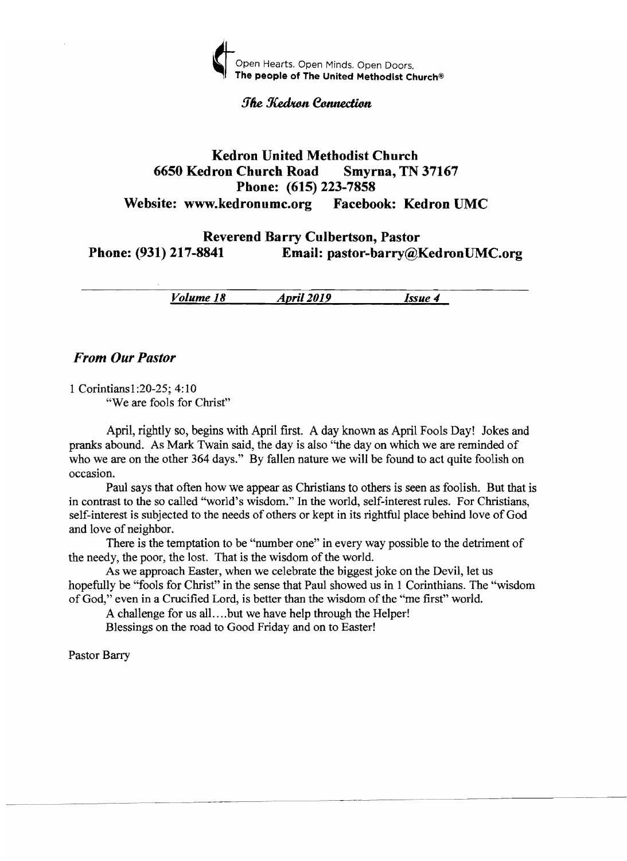

### **The Kedron Connection**

## Kedron United Methodist Church 6650 Kedron Church Road Smyrna, TN 37167 Phone: (615) 223-7858 Website: www.kedronumc.org Facebook: Kedron UMC

# Reverend Barry Culbertson, Pastor Phone: (931) 217-8841 Email: pastor-barry@KedronUMC.org

*Volume* 18 *April 2019 Issue* 4

## *From Our Pastor*

1 Corintiansl:20-25; 4:10 "We are fools for Christ"

April, rightly so, begins with April first. A day known as April Fools Day! Jokes and pranks abound. As Mark Twain said, the day is also ''the day on which we are reminded of who we are on the other 364 days." By fallen nature we will be found to act quite foolish on occasion.

Paul says that often how we appear as Christians to others is seen as foolish. But that is in contrast to the so called ''world's wisdom." In the world, self-interest rules. For Christians, self-interest is subjected to the needs of others or kept in its rightful place behind love of God and love of neighbor.

There is the temptation to be "number one" in every way possible to the detriment of the needy, the poor, the lost. That is the wisdom of the world.

As we approach Easter, when we celebrate the biggest joke on the Devil, let us hopefully be "fools for Christ" in the sense that Paul showed us in 1 Corinthians. The "wisdom of God," even in a Crucified Lord, is better than the wisdom of the "me first" world.

A challenge for us all. ... but we have help through the Helper! Blessings on the road to Good Friday and on to Easter!

Pastor Barry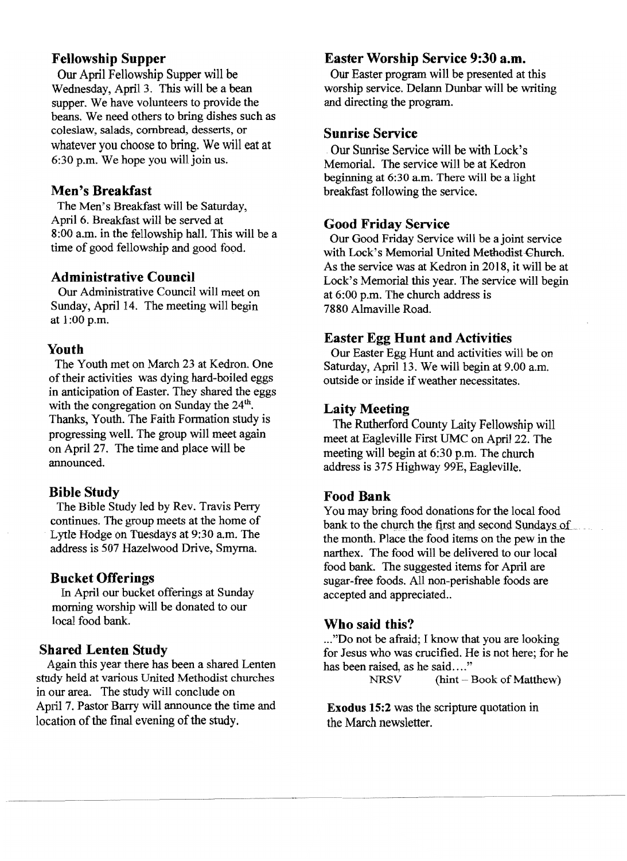## Fellowship Supper

Our April Fellowship Supper will be Wednesday, April 3. This will be a bean supper. We have volunteers to provide the beans. We need others to bring dishes such as coleslaw, salads, cornbread, desserts, or whatever you choose to bring. We will eat at 6:30 p.m. We hope you will join us.

## Men's Breakfast

The Men's Breakfast will be Saturday, April 6. Breakfast will be served at 8:00 a.m. in the fellowship hall. This will be a time of good fellowship and good food.

## Administrative Council

Our Administrative Council will meet on Sunday, April 14. The meeting will begin at 1:00 p.m.

#### Youth

The Youth met on March 23 at Kedron. One of their activities was dying hard-boiled eggs in anticipation of Easter. They shared the eggs with the congregation on Sunday the 24<sup>th</sup>. Thanks, Youth. The Faith Formation study is progressing well. The group will meet again on April 27. The time and place will be announced.

### Bible Study

The Bible Study led by Rev. Travis Perry continues. The group meets at the home of Lytle Hodge on Tuesdays at 9:30 a.m. The address is 507 Hazelwood Drive, Smyrna.

### Bucket Offerings

In April our bucket offerings at Sunday morning worship will be donated to our local food bank.

#### Shared Lenten Study

Again this year there has been a shared Lenten study held at various United Methodist churches in our area. The study will conclude on April 7. Pastor Barry will announce the time and location of the final evening of the study.

## Easter Worship Service 9:30 a.m.

Our Easter program will be presented at this worship service. Delann Dunbar will be writing and directing the program.

## Sunrise Service

Our Sunrise Service will be with Lock's Memorial. The service will be at Kedron beginning at 6:30 am. There will be a light breakfast following the service.

#### Good Friday Service

Our Good Friday Service will be a joint service with Lock's Memorial United Methodist-Church. As the service was at Kedron in 2018, it will be at Lock's Memorial this year. The service will begin at 6:00 p.m. The church address is 7880 Almaville Road.

#### Easter Egg Hunt and Activities

Our Easter Egg Hunt and activities will be on Saturday, April 13. We will begin at 9.00 a.m. outside or inside if weather necessitates.

#### Laity Meeting

The Rutherford County Laity Fellowship will meet at Eagleville First UMC on April 22. The meeting will begin at 6:30 p.m. The church address is 375 Highway 99E, Eagleville.

## Food Bank

You may bring food donations for the local food bank to the church the first and second Sundays of the month. Place the food items on the pew in the narthex. The food will be delivered to our local food bank. The suggested items for April are sugar-free foods. All non-perishable foods are accepted and appreciated..

#### Who said this?

..,"Do not be afraid; I know that you are looking for Jesus who was crucified. He is not here; for he has been raised, as he said...."<br>NRSV  $\qquad$  (hint -1)

 $(hint - Book of Matthew)$ 

Exodus 15:2 was the scripture quotation in the March newsletter.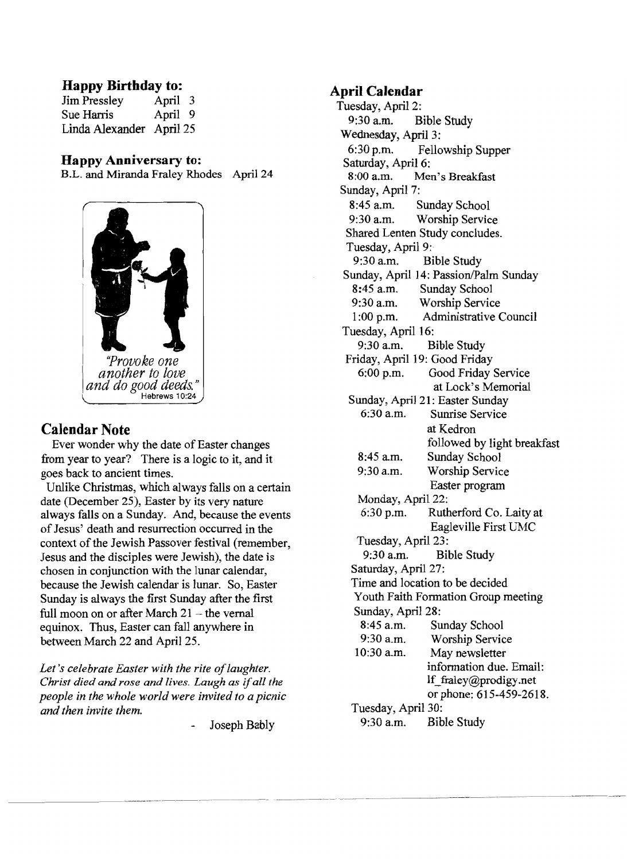## **Happy Birthday to:**

| <b>Jim Pressley</b>      | April 3 |  |
|--------------------------|---------|--|
| Sue Harris               | April 9 |  |
| Linda Alexander April 25 |         |  |

## **Happy Anniversary to:**

B.L. and Miranda Fraley Rhodes April 24



*another to love*  and do good deeds." Hebrews 10:24

# **Calendar Note**

Ever wonder why the date of Easter changes from year to year? There is a logic to it, and it goes back to ancient times.

Unlike Christmas, which always falls on a certain date (December 25), Easter by its very nature always falls on a Sunday. And, because the events ofJesus' death and resurrection occurred in the context of the Jewish Passover festival (remember, Jesus and the disciples were Jewish), the date is chosen in conjunction with the lunar calendar, because the Jewish calendar is lunar. So, Easter Sunday is always the first Sunday after the first full moon on or after March  $21$  – the vernal equinox. Thus, Easter can fall anywhere in between March 22 and April 25.

Let's celebrate Easter with the rite of laughter. *Christ died and rose and lives. Laugh as* if*all the people in the whole world were invited to a picnic and then invite them.* 

Joseph Bably

## **April Calendar**

Tuesday, April 2: 9:30 a.m. Bible Study Wednesday, April 3: 6:30 p.m. Fellowship Supper Saturday, April 6: 8:00 a.m. Men's Breakfast Sunday, April 7: 8:45 a.m. Sunday School 9:30 a.m. Worship Service Shared Lenten Study concludes. Tuesday, April 9: 9:30 a.m. Bible Study Sunday, April 14: Passion/Palm Sunday 8:45 a.m. Sunday School 9:30 a.m. Worship Service 1 :00 p.m. Administrative Council Tuesday, April 16: 9:30 a.m. Bible Study Friday, April 19: Good Friday 6:00 p.m. Good Friday Service at Lock's Memorial Sunday, April 21: Easter Sunday 6:30 a.m. Sunrise Service at Kedron followed by light breakfast 8:45 a.m. Sunday School 9:30 a.m. Worship Service Easter program Monday, April 22: 6:30 p.m. Rutherford Co. Laity at Eagleville First UMC Tuesday, April 23: 9:30 a.m. Bible Study Saturday, April 27: Time and location to be decided Youth Faith Formation Group meeting Sunday, April 28: 8:45 a.m. Sunday School 9:30 a.m. Worship Service 10:30 a.m. May newsletter information due. Email: If\_fraley@prodigy.net or phone: 615-459-2618. Tuesday, April 30: 9:30 a.m. Bible Study